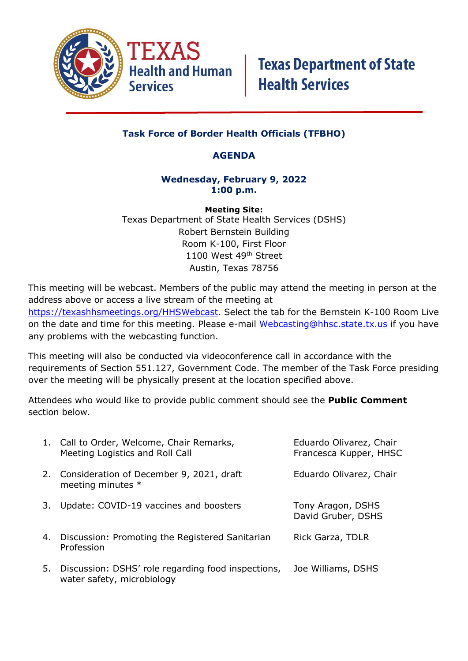

## **Task Force of Border Health Officials (TFBHO)**

## **AGENDA**

### **Wednesday, February 9, 2022 1:00 p.m.**

**Meeting Site:** Texas Department of State Health Services (DSHS) Robert Bernstein Building Room K-100, First Floor 1100 West 49th Street Austin, Texas 78756

This meeting will be webcast. Members of the public may attend the meeting in person at the address above or access a live stream of the meeting at [https://texashhsmeetings.org/HHSWebcast.](https://texashhsmeetings.org/HHSWebcast) Select the tab for the Bernstein K-100 Room Live on the date and time for this meeting. Please e-mail [Webcasting@hhsc.state.tx.us](mailto:Webcasting@hhsc.state.tx.us) if you have any problems with the webcasting function.

This meeting will also be conducted via videoconference call in accordance with the requirements of Section 551.127, Government Code. The member of the Task Force presiding over the meeting will be physically present at the location specified above.

Attendees who would like to provide public comment should see the **Public Comment** section below.

|    | 1. Call to Order, Welcome, Chair Remarks,<br>Meeting Logistics and Roll Call     | Eduardo Olivarez, Chair<br>Francesca Kupper, HHSC |
|----|----------------------------------------------------------------------------------|---------------------------------------------------|
|    | 2. Consideration of December 9, 2021, draft<br>meeting minutes *                 | Eduardo Olivarez, Chair                           |
| 3. | Update: COVID-19 vaccines and boosters                                           | Tony Aragon, DSHS<br>David Gruber, DSHS           |
|    | 4. Discussion: Promoting the Registered Sanitarian<br>Profession                 | Rick Garza, TDLR                                  |
| 5. | Discussion: DSHS' role regarding food inspections,<br>water safety, microbiology | Joe Williams, DSHS                                |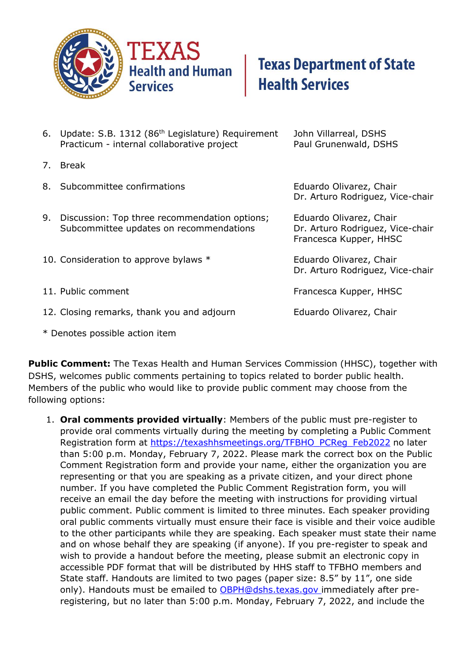

# **Texas Department of State Health Services**

- 6. Update: S.B. 1312 (86th Legislature) Requirement John Villarreal, DSHS Practicum - internal collaborative project Paul Grunenwald, DSHS 7. Break 8. Subcommittee confirmations extended the eduardo Olivarez, Chair Dr. Arturo Rodriguez, Vice-chair 9. Discussion: Top three recommendation options; Eduardo Olivarez, Chair Subcommittee updates on recommendations **Dr. Arturo Rodriguez, Vice-chair** Francesca Kupper, HHSC 10. Consideration to approve bylaws \* The Eduardo Olivarez, Chair Dr. Arturo Rodriguez, Vice-chair 11. Public comment **Francesca Kupper**, HHSC 12. Closing remarks, thank you and adjourn Eduardo Olivarez, Chair
- \* Denotes possible action item

**Public Comment:** The Texas Health and Human Services Commission (HHSC), together with DSHS, welcomes public comments pertaining to topics related to border public health. Members of the public who would like to provide public comment may choose from the following options:

1. **Oral comments provided virtually**: Members of the public must pre-register to provide oral comments virtually during the meeting by completing a Public Comment Registration form at [https://texashhsmeetings.org/TFBHO\\_PCReg\\_Feb2022](https://texashhsmeetings.org/TFBHO_PCReg_Feb2022) no later than 5:00 p.m. Monday, February 7, 2022. Please mark the correct box on the Public Comment Registration form and provide your name, either the organization you are representing or that you are speaking as a private citizen, and your direct phone number. If you have completed the Public Comment Registration form, you will receive an email the day before the meeting with instructions for providing virtual public comment. Public comment is limited to three minutes. Each speaker providing oral public comments virtually must ensure their face is visible and their voice audible to the other participants while they are speaking. Each speaker must state their name and on whose behalf they are speaking (if anyone). If you pre-register to speak and wish to provide a handout before the meeting, please submit an electronic copy in accessible PDF format that will be distributed by HHS staff to TFBHO members and State staff. Handouts are limited to two pages (paper size: 8.5" by 11", one side only). Handouts must be emailed to **OBPH@dshs.texas.gov** immediately after preregistering, but no later than 5:00 p.m. Monday, February 7, 2022, and include the